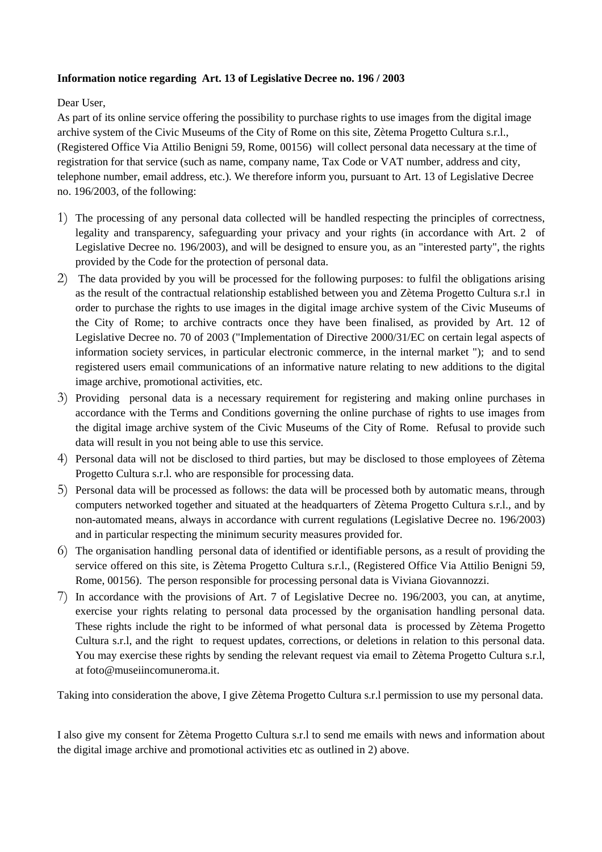## **Information notice regarding Art. 13 of Legislative Decree no. 196 / 2003**

## Dear User,

As part of its online service offering the possibility to purchase rights to use images from the digital image archive system of the Civic Museums of the City of Rome on this site, Zètema Progetto Cultura s.r.l., (Registered Office Via Attilio Benigni 59, Rome, 00156) will collect personal data necessary at the time of registration for that service (such as name, company name, Tax Code or VAT number, address and city, telephone number, email address, etc.). We therefore inform you, pursuant to Art. 13 of Legislative Decree no. 196/2003, of the following:

- 1) The processing of any personal data collected will be handled respecting the principles of correctness, legality and transparency, safeguarding your privacy and your rights (in accordance with Art. 2 of Legislative Decree no. 196/2003), and will be designed to ensure you, as an "interested party", the rights provided by the Code for the protection of personal data.
- 2) The data provided by you will be processed for the following purposes: to fulfil the obligations arising as the result of the contractual relationship established between you and Zètema Progetto Cultura s.r.l in order to purchase the rights to use images in the digital image archive system of the Civic Museums of the City of Rome; to archive contracts once they have been finalised, as provided by Art. 12 of Legislative Decree no. 70 of 2003 ("Implementation of Directive 2000/31/EC on certain legal aspects of information society services, in particular electronic commerce, in the internal market "); and to send registered users email communications of an informative nature relating to new additions to the digital image archive, promotional activities, etc.
- 3) Providing personal data is a necessary requirement for registering and making online purchases in accordance with the Terms and Conditions governing the online purchase of rights to use images from the digital image archive system of the Civic Museums of the City of Rome. Refusal to provide such data will result in you not being able to use this service.
- 4) Personal data will not be disclosed to third parties, but may be disclosed to those employees of Zètema Progetto Cultura s.r.l. who are responsible for processing data.
- 5) Personal data will be processed as follows: the data will be processed both by automatic means, through computers networked together and situated at the headquarters of Zètema Progetto Cultura s.r.l., and by non-automated means, always in accordance with current regulations (Legislative Decree no. 196/2003) and in particular respecting the minimum security measures provided for.
- 6) The organisation handling personal data of identified or identifiable persons, as a result of providing the service offered on this site, is Zètema Progetto Cultura s.r.l., (Registered Office Via Attilio Benigni 59, Rome, 00156). The person responsible for processing personal data is Viviana Giovannozzi.
- 7) In accordance with the provisions of Art. 7 of Legislative Decree no. 196/2003, you can, at anytime, exercise your rights relating to personal data processed by the organisation handling personal data. These rights include the right to be informed of what personal data is processed by Zètema Progetto Cultura s.r.l, and the right to request updates, corrections, or deletions in relation to this personal data. You may exercise these rights by sending the relevant request via email to Zètema Progetto Cultura s.r.l, at foto@museiincomuneroma.it.

Taking into consideration the above, I give Zètema Progetto Cultura s.r.l permission to use my personal data.

I also give my consent for Zètema Progetto Cultura s.r.l to send me emails with news and information about the digital image archive and promotional activities etc as outlined in 2) above.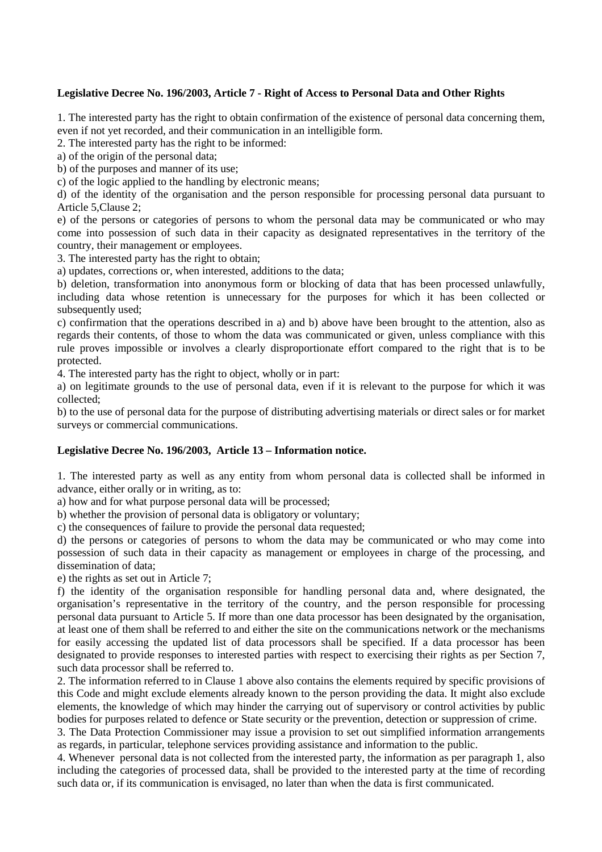## **Legislative Decree No. 196/2003, Article 7 - Right of Access to Personal Data and Other Rights**

1. The interested party has the right to obtain confirmation of the existence of personal data concerning them, even if not yet recorded, and their communication in an intelligible form.

2. The interested party has the right to be informed:

a) of the origin of the personal data;

b) of the purposes and manner of its use;

c) of the logic applied to the handling by electronic means;

d) of the identity of the organisation and the person responsible for processing personal data pursuant to Article 5,Clause 2;

e) of the persons or categories of persons to whom the personal data may be communicated or who may come into possession of such data in their capacity as designated representatives in the territory of the country, their management or employees.

3. The interested party has the right to obtain;

a) updates, corrections or, when interested, additions to the data;

b) deletion, transformation into anonymous form or blocking of data that has been processed unlawfully, including data whose retention is unnecessary for the purposes for which it has been collected or subsequently used;

c) confirmation that the operations described in a) and b) above have been brought to the attention, also as regards their contents, of those to whom the data was communicated or given, unless compliance with this rule proves impossible or involves a clearly disproportionate effort compared to the right that is to be protected.

4. The interested party has the right to object, wholly or in part:

a) on legitimate grounds to the use of personal data, even if it is relevant to the purpose for which it was collected;

b) to the use of personal data for the purpose of distributing advertising materials or direct sales or for market surveys or commercial communications.

## **Legislative Decree No. 196/2003, Article 13 – Information notice.**

1. The interested party as well as any entity from whom personal data is collected shall be informed in advance, either orally or in writing, as to:

a) how and for what purpose personal data will be processed;

b) whether the provision of personal data is obligatory or voluntary;

c) the consequences of failure to provide the personal data requested;

d) the persons or categories of persons to whom the data may be communicated or who may come into possession of such data in their capacity as management or employees in charge of the processing, and dissemination of data;

e) the rights as set out in Article 7;

f) the identity of the organisation responsible for handling personal data and, where designated, the organisation's representative in the territory of the country, and the person responsible for processing personal data pursuant to Article 5. If more than one data processor has been designated by the organisation, at least one of them shall be referred to and either the site on the communications network or the mechanisms for easily accessing the updated list of data processors shall be specified. If a data processor has been designated to provide responses to interested parties with respect to exercising their rights as per Section 7, such data processor shall be referred to.

2. The information referred to in Clause 1 above also contains the elements required by specific provisions of this Code and might exclude elements already known to the person providing the data. It might also exclude elements, the knowledge of which may hinder the carrying out of supervisory or control activities by public bodies for purposes related to defence or State security or the prevention, detection or suppression of crime.

3. The Data Protection Commissioner may issue a provision to set out simplified information arrangements as regards, in particular, telephone services providing assistance and information to the public.

4. Whenever personal data is not collected from the interested party, the information as per paragraph 1, also including the categories of processed data, shall be provided to the interested party at the time of recording such data or, if its communication is envisaged, no later than when the data is first communicated.